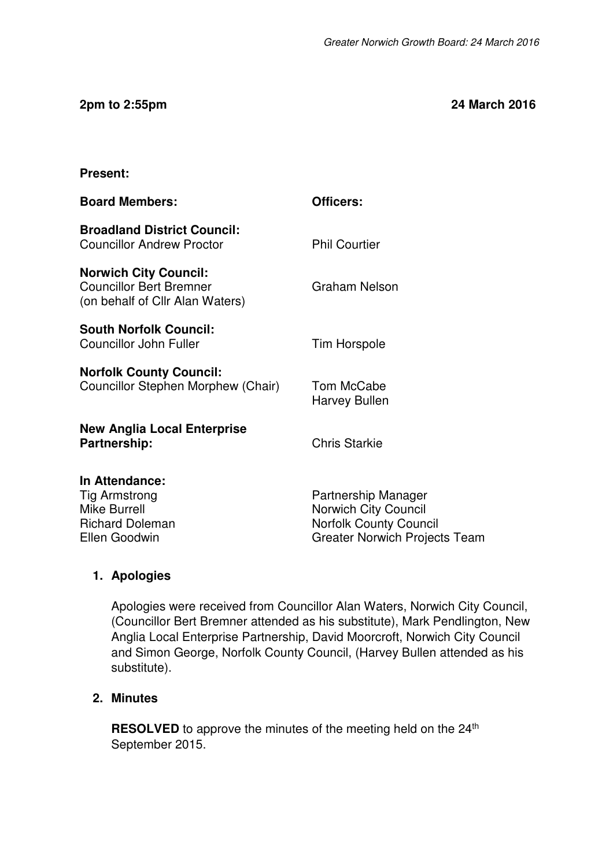#### **2pm to 2:55pm 24 March 2016**

#### **Present:**

| <b>Board Members:</b>                                                                                    | Officers:                                                                                                            |
|----------------------------------------------------------------------------------------------------------|----------------------------------------------------------------------------------------------------------------------|
| <b>Broadland District Council:</b><br><b>Councillor Andrew Proctor</b>                                   | <b>Phil Courtier</b>                                                                                                 |
| <b>Norwich City Council:</b><br><b>Councillor Bert Bremner</b><br>(on behalf of Cllr Alan Waters)        | <b>Graham Nelson</b>                                                                                                 |
| <b>South Norfolk Council:</b><br><b>Councillor John Fuller</b>                                           | <b>Tim Horspole</b>                                                                                                  |
| <b>Norfolk County Council:</b><br>Councillor Stephen Morphew (Chair)                                     | Tom McCabe<br><b>Harvey Bullen</b>                                                                                   |
| <b>New Anglia Local Enterprise</b><br>Partnership:                                                       | <b>Chris Starkie</b>                                                                                                 |
| In Attendance:<br><b>Tig Armstrong</b><br><b>Mike Burrell</b><br><b>Richard Doleman</b><br>Ellen Goodwin | Partnership Manager<br>Norwich City Council<br><b>Norfolk County Council</b><br><b>Greater Norwich Projects Team</b> |

#### **1. Apologies**

Apologies were received from Councillor Alan Waters, Norwich City Council, (Councillor Bert Bremner attended as his substitute), Mark Pendlington, New Anglia Local Enterprise Partnership, David Moorcroft, Norwich City Council and Simon George, Norfolk County Council, (Harvey Bullen attended as his substitute).

#### **2. Minutes**

**RESOLVED** to approve the minutes of the meeting held on the 24<sup>th</sup> September 2015.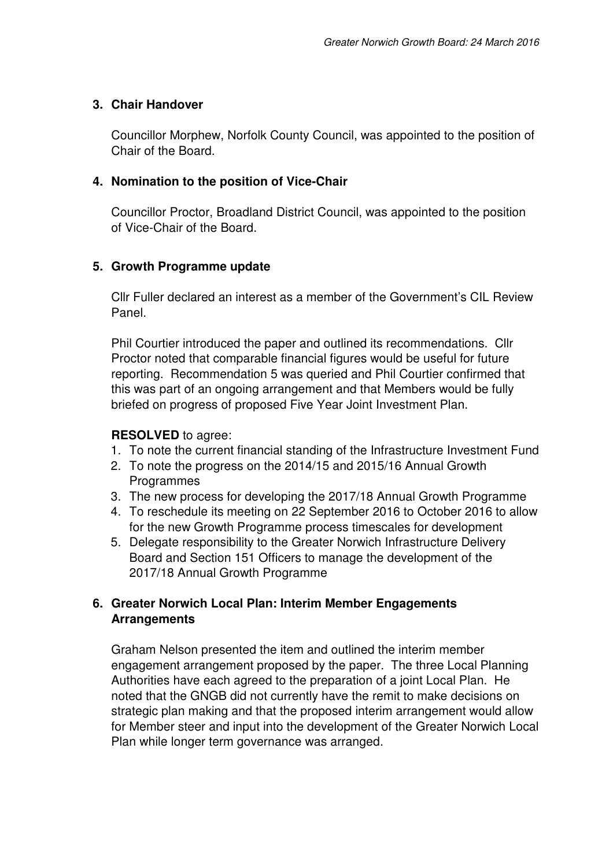# **3. Chair Handover**

Councillor Morphew, Norfolk County Council, was appointed to the position of Chair of the Board.

## **4. Nomination to the position of Vice-Chair**

Councillor Proctor, Broadland District Council, was appointed to the position of Vice-Chair of the Board.

# **5. Growth Programme update**

Cllr Fuller declared an interest as a member of the Government's CIL Review Panel.

Phil Courtier introduced the paper and outlined its recommendations. Cllr Proctor noted that comparable financial figures would be useful for future reporting. Recommendation 5 was queried and Phil Courtier confirmed that this was part of an ongoing arrangement and that Members would be fully briefed on progress of proposed Five Year Joint Investment Plan.

#### **RESOLVED** to agree:

- 1. To note the current financial standing of the Infrastructure Investment Fund
- 2. To note the progress on the 2014/15 and 2015/16 Annual Growth **Programmes**
- 3. The new process for developing the 2017/18 Annual Growth Programme
- 4. To reschedule its meeting on 22 September 2016 to October 2016 to allow for the new Growth Programme process timescales for development
- 5. Delegate responsibility to the Greater Norwich Infrastructure Delivery Board and Section 151 Officers to manage the development of the 2017/18 Annual Growth Programme

# **6. Greater Norwich Local Plan: Interim Member Engagements Arrangements**

Graham Nelson presented the item and outlined the interim member engagement arrangement proposed by the paper. The three Local Planning Authorities have each agreed to the preparation of a joint Local Plan. He noted that the GNGB did not currently have the remit to make decisions on strategic plan making and that the proposed interim arrangement would allow for Member steer and input into the development of the Greater Norwich Local Plan while longer term governance was arranged.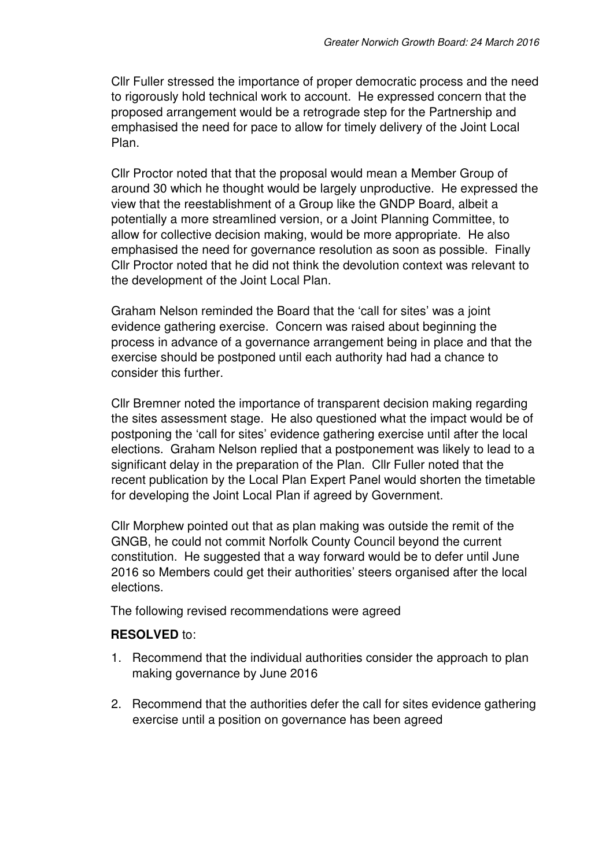Cllr Fuller stressed the importance of proper democratic process and the need to rigorously hold technical work to account. He expressed concern that the proposed arrangement would be a retrograde step for the Partnership and emphasised the need for pace to allow for timely delivery of the Joint Local Plan.

Cllr Proctor noted that that the proposal would mean a Member Group of around 30 which he thought would be largely unproductive. He expressed the view that the reestablishment of a Group like the GNDP Board, albeit a potentially a more streamlined version, or a Joint Planning Committee, to allow for collective decision making, would be more appropriate. He also emphasised the need for governance resolution as soon as possible. Finally Cllr Proctor noted that he did not think the devolution context was relevant to the development of the Joint Local Plan.

Graham Nelson reminded the Board that the 'call for sites' was a joint evidence gathering exercise. Concern was raised about beginning the process in advance of a governance arrangement being in place and that the exercise should be postponed until each authority had had a chance to consider this further.

Cllr Bremner noted the importance of transparent decision making regarding the sites assessment stage. He also questioned what the impact would be of postponing the 'call for sites' evidence gathering exercise until after the local elections. Graham Nelson replied that a postponement was likely to lead to a significant delay in the preparation of the Plan. Cllr Fuller noted that the recent publication by the Local Plan Expert Panel would shorten the timetable for developing the Joint Local Plan if agreed by Government.

Cllr Morphew pointed out that as plan making was outside the remit of the GNGB, he could not commit Norfolk County Council beyond the current constitution. He suggested that a way forward would be to defer until June 2016 so Members could get their authorities' steers organised after the local elections.

The following revised recommendations were agreed

#### **RESOLVED** to:

- 1. Recommend that the individual authorities consider the approach to plan making governance by June 2016
- 2. Recommend that the authorities defer the call for sites evidence gathering exercise until a position on governance has been agreed